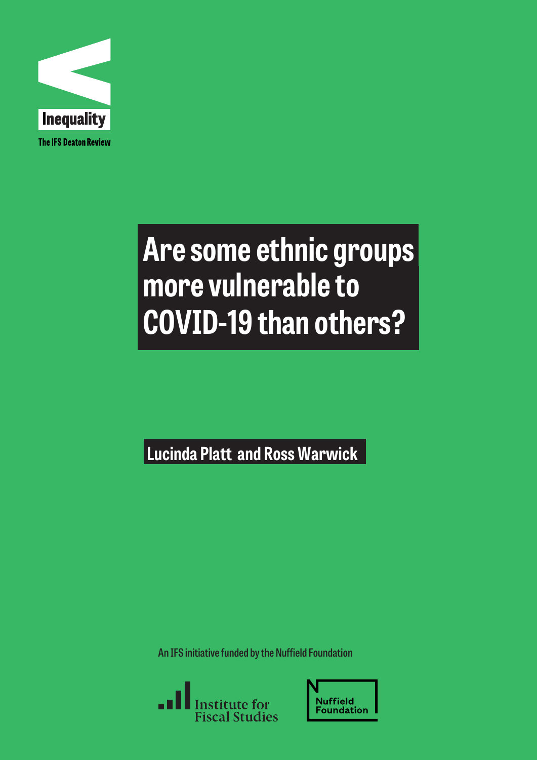

# **Are some ethnic groups more vulnerable to COVID-19 than others?**

**Lucinda Platt and Ross Warwick**

**An IFS initiative funded by the Nuffield Foundation**



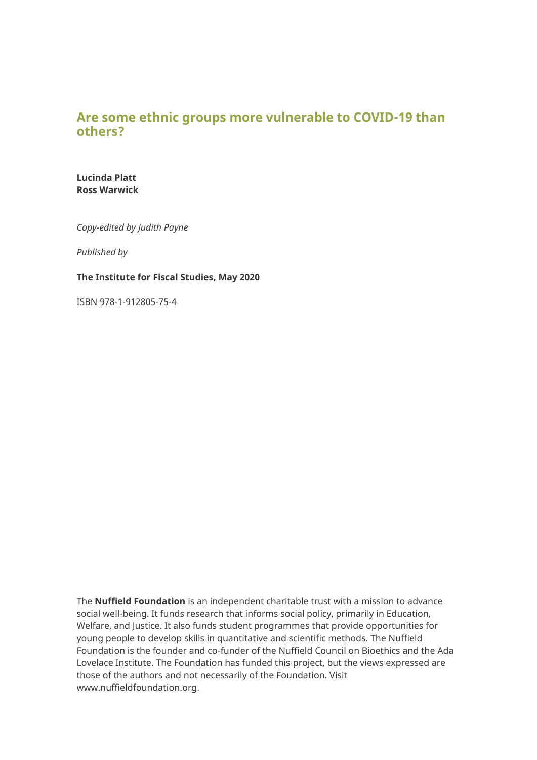# **Are some ethnic groups more vulnerable to COVID-19 than others?**

**Lucinda Platt Ross Warwick**

*Copy-edited by Judith Payne*

*Published by*

#### **The Institute for Fiscal Studies, May 2020**

ISBN 978-1-912805-75-4

The **Nuffield Foundation** is an independent charitable trust with a mission to advance social well-being. It funds research that informs social policy, primarily in Education, Welfare, and Justice. It also funds student programmes that provide opportunities for young people to develop skills in quantitative and scientific methods. The Nuffield Foundation is the founder and co-funder of the Nuffield Council on Bioethics and the Ada Lovelace Institute. The Foundation has funded this project, but the views expressed are those of the authors and not necessarily of the Foundation. Visit [www.nuffieldfoundation.org.](http://www.nuffieldfoundation.org/)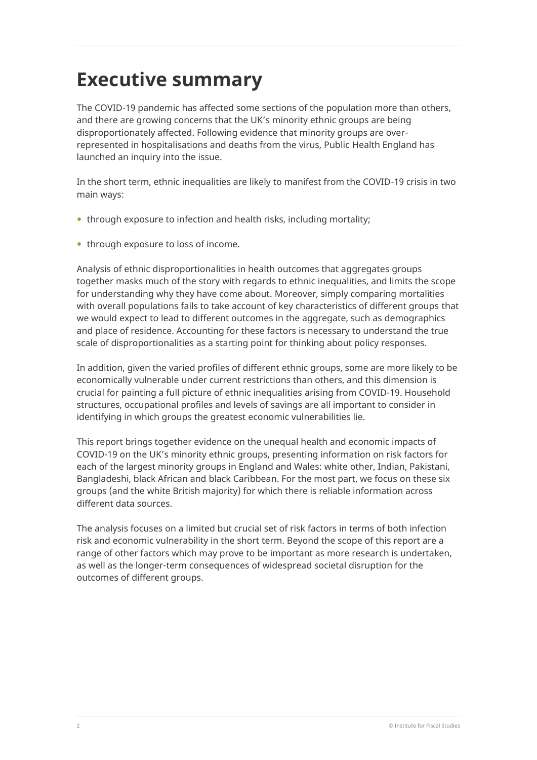# **Executive summary**

The COVID-19 pandemic has affected some sections of the population more than others, and there are growing concerns that the UK's minority ethnic groups are being disproportionately affected. Following evidence that minority groups are overrepresented in hospitalisations and deaths from the virus, Public Health England has launched an inquiry into the issue.

In the short term, ethnic inequalities are likely to manifest from the COVID-19 crisis in two main ways:

- through exposure to infection and health risks, including mortality;
- through exposure to loss of income.

Analysis of ethnic disproportionalities in health outcomes that aggregates groups together masks much of the story with regards to ethnic inequalities, and limits the scope for understanding why they have come about. Moreover, simply comparing mortalities with overall populations fails to take account of key characteristics of different groups that we would expect to lead to different outcomes in the aggregate, such as demographics and place of residence. Accounting for these factors is necessary to understand the true scale of disproportionalities as a starting point for thinking about policy responses.

In addition, given the varied profiles of different ethnic groups, some are more likely to be economically vulnerable under current restrictions than others, and this dimension is crucial for painting a full picture of ethnic inequalities arising from COVID-19. Household structures, occupational profiles and levels of savings are all important to consider in identifying in which groups the greatest economic vulnerabilities lie.

This report brings together evidence on the unequal health and economic impacts of COVID-19 on the UK's minority ethnic groups, presenting information on risk factors for each of the largest minority groups in England and Wales: white other, Indian, Pakistani, Bangladeshi, black African and black Caribbean. For the most part, we focus on these six groups (and the white British majority) for which there is reliable information across different data sources.

The analysis focuses on a limited but crucial set of risk factors in terms of both infection risk and economic vulnerability in the short term. Beyond the scope of this report are a range of other factors which may prove to be important as more research is undertaken, as well as the longer-term consequences of widespread societal disruption for the outcomes of different groups.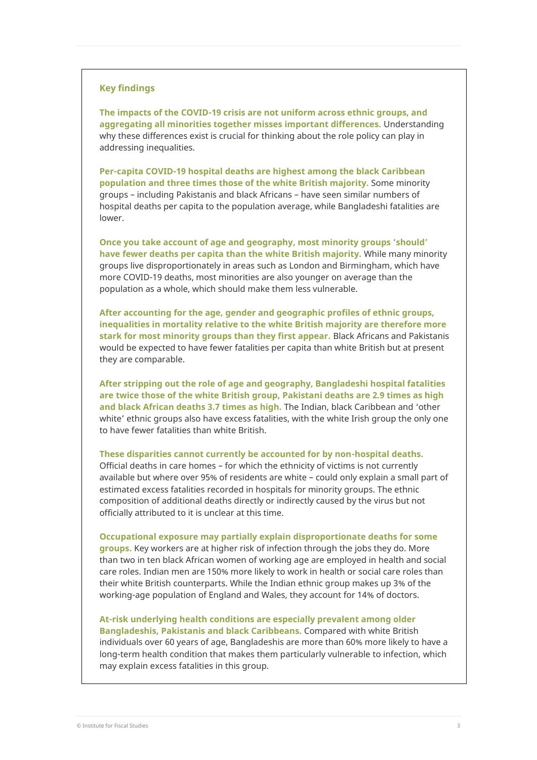#### **Key findings**

**The impacts of the COVID-19 crisis are not uniform across ethnic groups, and aggregating all minorities together misses important differences.** Understanding why these differences exist is crucial for thinking about the role policy can play in addressing inequalities.

**Per-capita COVID-19 hospital deaths are highest among the black Caribbean population and three times those of the white British majority.** Some minority groups – including Pakistanis and black Africans – have seen similar numbers of hospital deaths per capita to the population average, while Bangladeshi fatalities are lower.

**Once you take account of age and geography, most minority groups 'should' have fewer deaths per capita than the white British majority.** While many minority groups live disproportionately in areas such as London and Birmingham, which have more COVID-19 deaths, most minorities are also younger on average than the population as a whole, which should make them less vulnerable.

**After accounting for the age, gender and geographic profiles of ethnic groups, inequalities in mortality relative to the white British majority are therefore more stark for most minority groups than they first appear.** Black Africans and Pakistanis would be expected to have fewer fatalities per capita than white British but at present they are comparable.

**After stripping out the role of age and geography, Bangladeshi hospital fatalities are twice those of the white British group, Pakistani deaths are 2.9 times as high and black African deaths 3.7 times as high.** The Indian, black Caribbean and 'other white' ethnic groups also have excess fatalities, with the white Irish group the only one to have fewer fatalities than white British.

**These disparities cannot currently be accounted for by non-hospital deaths.** 

Official deaths in care homes – for which the ethnicity of victims is not currently available but where over 95% of residents are white – could only explain a small part of estimated excess fatalities recorded in hospitals for minority groups. The ethnic composition of additional deaths directly or indirectly caused by the virus but not officially attributed to it is unclear at this time.

**Occupational exposure may partially explain disproportionate deaths for some groups.** Key workers are at higher risk of infection through the jobs they do. More than two in ten black African women of working age are employed in health and social care roles. Indian men are 150% more likely to work in health or social care roles than their white British counterparts. While the Indian ethnic group makes up 3% of the working-age population of England and Wales, they account for 14% of doctors.

**At-risk underlying health conditions are especially prevalent among older Bangladeshis, Pakistanis and black Caribbeans.** Compared with white British individuals over 60 years of age, Bangladeshis are more than 60% more likely to have a long-term health condition that makes them particularly vulnerable to infection, which may explain excess fatalities in this group.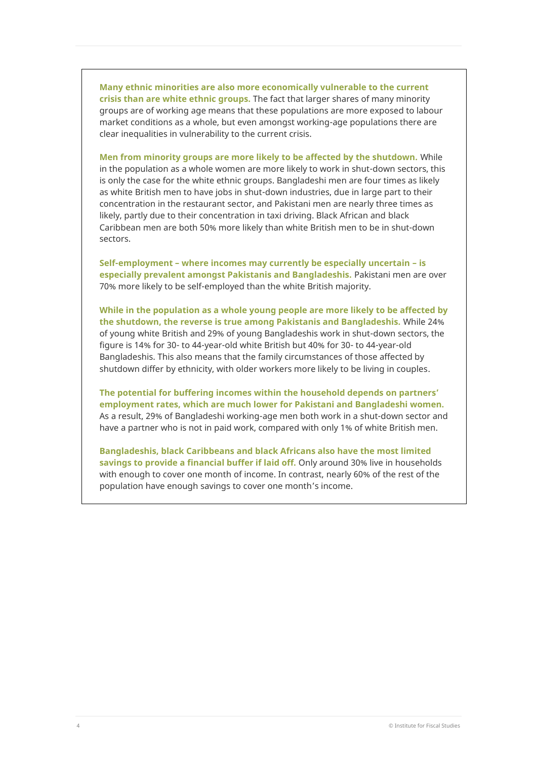**Many ethnic minorities are also more economically vulnerable to the current crisis than are white ethnic groups.** The fact that larger shares of many minority groups are of working age means that these populations are more exposed to labour market conditions as a whole, but even amongst working-age populations there are clear inequalities in vulnerability to the current crisis.

**Men from minority groups are more likely to be affected by the shutdown.** While in the population as a whole women are more likely to work in shut-down sectors, this is only the case for the white ethnic groups. Bangladeshi men are four times as likely as white British men to have jobs in shut-down industries, due in large part to their concentration in the restaurant sector, and Pakistani men are nearly three times as likely, partly due to their concentration in taxi driving. Black African and black Caribbean men are both 50% more likely than white British men to be in shut-down sectors.

**Self-employment – where incomes may currently be especially uncertain – is especially prevalent amongst Pakistanis and Bangladeshis.** Pakistani men are over 70% more likely to be self-employed than the white British majority.

**While in the population as a whole young people are more likely to be affected by the shutdown, the reverse is true among Pakistanis and Bangladeshis.** While 24% of young white British and 29% of young Bangladeshis work in shut-down sectors, the figure is 14% for 30- to 44-year-old white British but 40% for 30- to 44-year-old Bangladeshis. This also means that the family circumstances of those affected by shutdown differ by ethnicity, with older workers more likely to be living in couples.

**The potential for buffering incomes within the household depends on partners' employment rates, which are much lower for Pakistani and Bangladeshi women.**  As a result, 29% of Bangladeshi working-age men both work in a shut-down sector and have a partner who is not in paid work, compared with only 1% of white British men.

**Bangladeshis, black Caribbeans and black Africans also have the most limited savings to provide a financial buffer if laid off.** Only around 30% live in households with enough to cover one month of income. In contrast, nearly 60% of the rest of the population have enough savings to cover one month's income.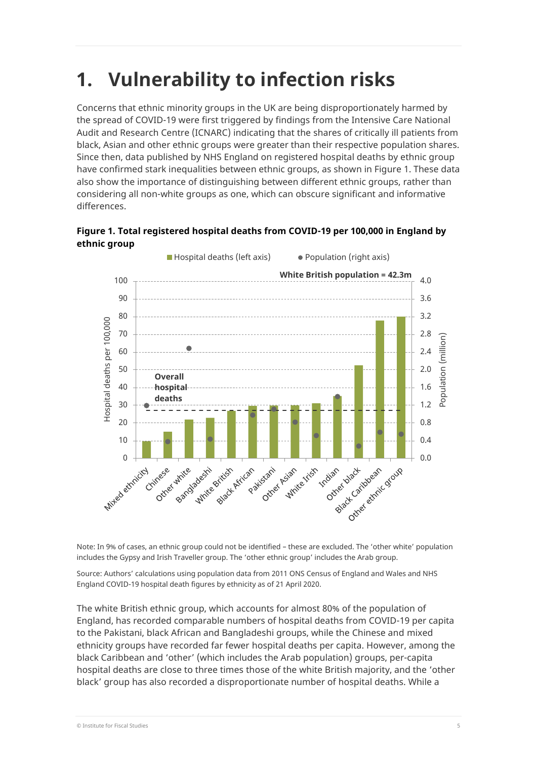# **1. Vulnerability to infection risks**

Concerns that ethnic minority groups in the UK are being disproportionately harmed by the spread of COVID-19 were first triggered by findings from the Intensive Care National Audit and Research Centre (ICNARC) indicating that the shares of critically ill patients from black, Asian and other ethnic groups were greater than their respective population shares. Since then, data published by NHS England on registered hospital deaths by ethnic group have confirmed stark inequalities between ethnic groups, as shown in Figure 1. These data also show the importance of distinguishing between different ethnic groups, rather than considering all non-white groups as one, which can obscure significant and informative differences.

**Figure 1. Total registered hospital deaths from COVID-19 per 100,000 in England by ethnic group**



Note: In 9% of cases, an ethnic group could not be identified – these are excluded. The 'other white' population includes the Gypsy and Irish Traveller group. The 'other ethnic group' includes the Arab group.

Source: Authors' calculations using population data from 2011 ONS Census of England and Wales and NHS England COVID-19 hospital death figures by ethnicity as of 21 April 2020.

The white British ethnic group, which accounts for almost 80% of the population of England, has recorded comparable numbers of hospital deaths from COVID-19 per capita to the Pakistani, black African and Bangladeshi groups, while the Chinese and mixed ethnicity groups have recorded far fewer hospital deaths per capita. However, among the black Caribbean and 'other' (which includes the Arab population) groups, per-capita hospital deaths are close to three times those of the white British majority, and the 'other black' group has also recorded a disproportionate number of hospital deaths. While a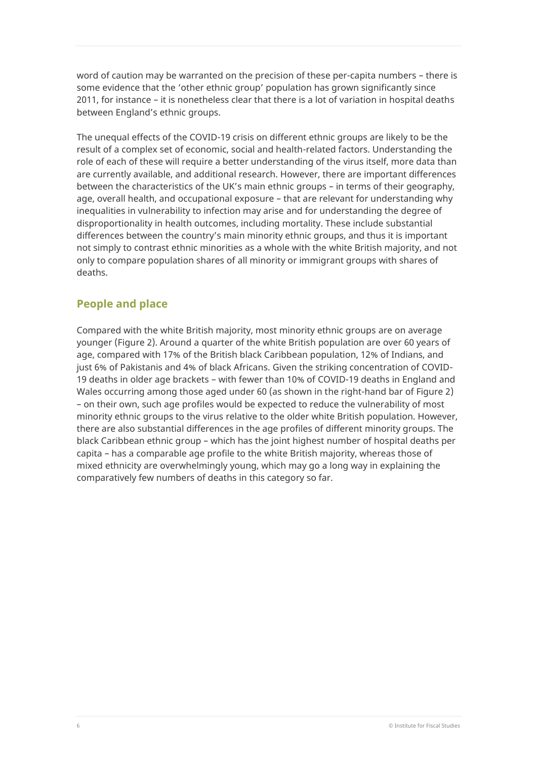word of caution may be warranted on the precision of these per-capita numbers – there is some evidence that the 'other ethnic group' population has grown significantly since 2011, for instance – it is nonetheless clear that there is a lot of variation in hospital deaths between England's ethnic groups.

The unequal effects of the COVID-19 crisis on different ethnic groups are likely to be the result of a complex set of economic, social and health-related factors. Understanding the role of each of these will require a better understanding of the virus itself, more data than are currently available, and additional research. However, there are important differences between the characteristics of the UK's main ethnic groups – in terms of their geography, age, overall health, and occupational exposure – that are relevant for understanding why inequalities in vulnerability to infection may arise and for understanding the degree of disproportionality in health outcomes, including mortality. These include substantial differences between the country's main minority ethnic groups, and thus it is important not simply to contrast ethnic minorities as a whole with the white British majority, and not only to compare population shares of all minority or immigrant groups with shares of deaths.

# **People and place**

Compared with the white British majority, most minority ethnic groups are on average younger (Figure 2). Around a quarter of the white British population are over 60 years of age, compared with 17% of the British black Caribbean population, 12% of Indians, and just 6% of Pakistanis and 4% of black Africans. Given the striking concentration of COVID-19 deaths in older age brackets – with fewer than 10% of COVID-19 deaths in England and Wales occurring among those aged under 60 (as shown in the right-hand bar of Figure 2) – on their own, such age profiles would be expected to reduce the vulnerability of most minority ethnic groups to the virus relative to the older white British population. However, there are also substantial differences in the age profiles of different minority groups. The black Caribbean ethnic group – which has the joint highest number of hospital deaths per capita – has a comparable age profile to the white British majority, whereas those of mixed ethnicity are overwhelmingly young, which may go a long way in explaining the comparatively few numbers of deaths in this category so far.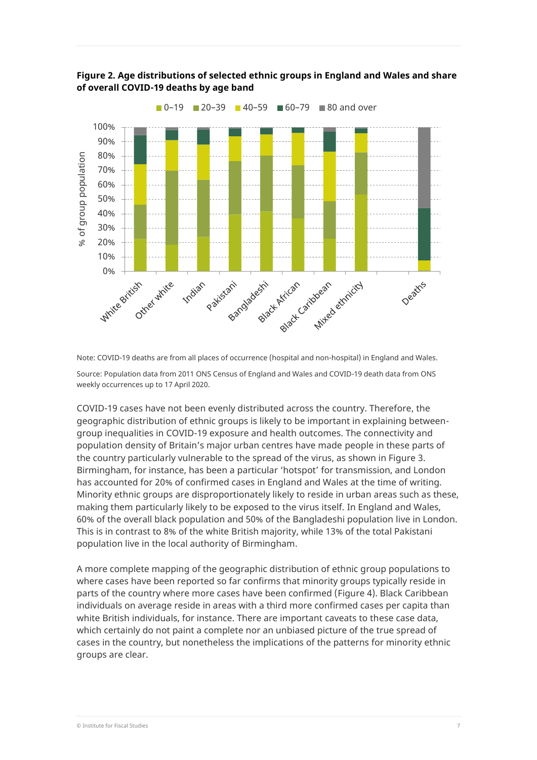

### **Figure 2. Age distributions of selected ethnic groups in England and Wales and share of overall COVID-19 deaths by age band**

Note: COVID-19 deaths are from all places of occurrence (hospital and non-hospital) in England and Wales.

Source: Population data from 2011 ONS Census of England and Wales and COVID-19 death data from ONS weekly occurrences up to 17 April 2020.

COVID-19 cases have not been evenly distributed across the country. Therefore, the geographic distribution of ethnic groups is likely to be important in explaining betweengroup inequalities in COVID-19 exposure and health outcomes. The connectivity and population density of Britain's major urban centres have made people in these parts of the country particularly vulnerable to the spread of the virus, as shown in Figure 3. Birmingham, for instance, has been a particular 'hotspot' for transmission, and London has accounted for 20% of confirmed cases in England and Wales at the time of writing. Minority ethnic groups are disproportionately likely to reside in urban areas such as these, making them particularly likely to be exposed to the virus itself. In England and Wales, 60% of the overall black population and 50% of the Bangladeshi population live in London. This is in contrast to 8% of the white British majority, while 13% of the total Pakistani population live in the local authority of Birmingham.

A more complete mapping of the geographic distribution of ethnic group populations to where cases have been reported so far confirms that minority groups typically reside in parts of the country where more cases have been confirmed (Figure 4). Black Caribbean individuals on average reside in areas with a third more confirmed cases per capita than white British individuals, for instance. There are important caveats to these case data, which certainly do not paint a complete nor an unbiased picture of the true spread of cases in the country, but nonetheless the implications of the patterns for minority ethnic groups are clear.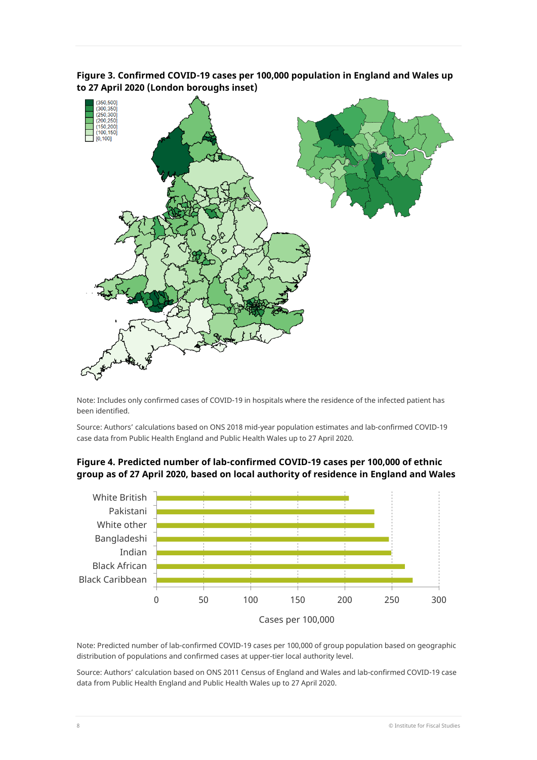

**Figure 3. Confirmed COVID-19 cases per 100,000 population in England and Wales up to 27 April 2020 (London boroughs inset)**

Note: Includes only confirmed cases of COVID-19 in hospitals where the residence of the infected patient has been identified.

Source: Authors' calculations based on ONS 2018 mid-year population estimates and lab-confirmed COVID-19 case data from Public Health England and Public Health Wales up to 27 April 2020.





Note: Predicted number of lab-confirmed COVID-19 cases per 100,000 of group population based on geographic distribution of populations and confirmed cases at upper-tier local authority level.

Source: Authors' calculation based on ONS 2011 Census of England and Wales and lab-confirmed COVID-19 case data from Public Health England and Public Health Wales up to 27 April 2020.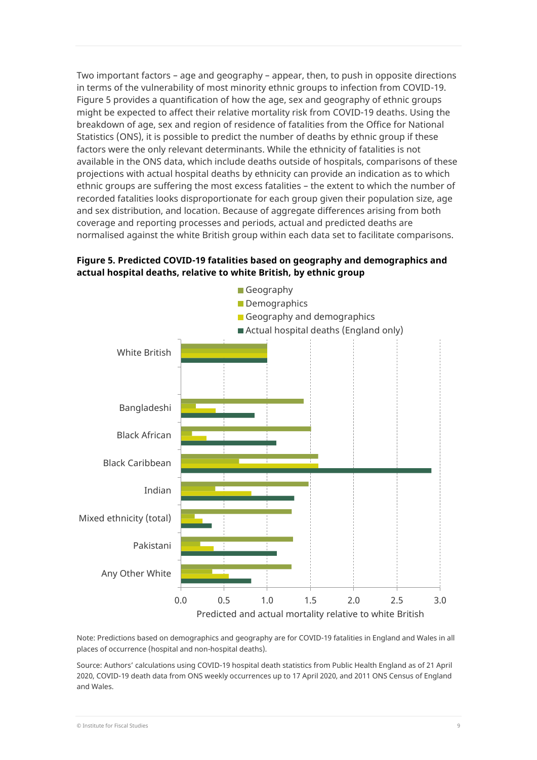Two important factors – age and geography – appear, then, to push in opposite directions in terms of the vulnerability of most minority ethnic groups to infection from COVID-19. Figure 5 provides a quantification of how the age, sex and geography of ethnic groups might be expected to affect their relative mortality risk from COVID-19 deaths. Using the breakdown of age, sex and region of residence of fatalities from the Office for National Statistics (ONS), it is possible to predict the number of deaths by ethnic group if these factors were the only relevant determinants. While the ethnicity of fatalities is not available in the ONS data, which include deaths outside of hospitals, comparisons of these projections with actual hospital deaths by ethnicity can provide an indication as to which ethnic groups are suffering the most excess fatalities – the extent to which the number of recorded fatalities looks disproportionate for each group given their population size, age and sex distribution, and location. Because of aggregate differences arising from both coverage and reporting processes and periods, actual and predicted deaths are normalised against the white British group within each data set to facilitate comparisons.



### **Figure 5. Predicted COVID-19 fatalities based on geography and demographics and actual hospital deaths, relative to white British, by ethnic group**

Note: Predictions based on demographics and geography are for COVID-19 fatalities in England and Wales in all places of occurrence (hospital and non-hospital deaths).

Source: Authors' calculations using COVID-19 hospital death statistics from Public Health England as of 21 April 2020, COVID-19 death data from ONS weekly occurrences up to 17 April 2020, and 2011 ONS Census of England and Wales.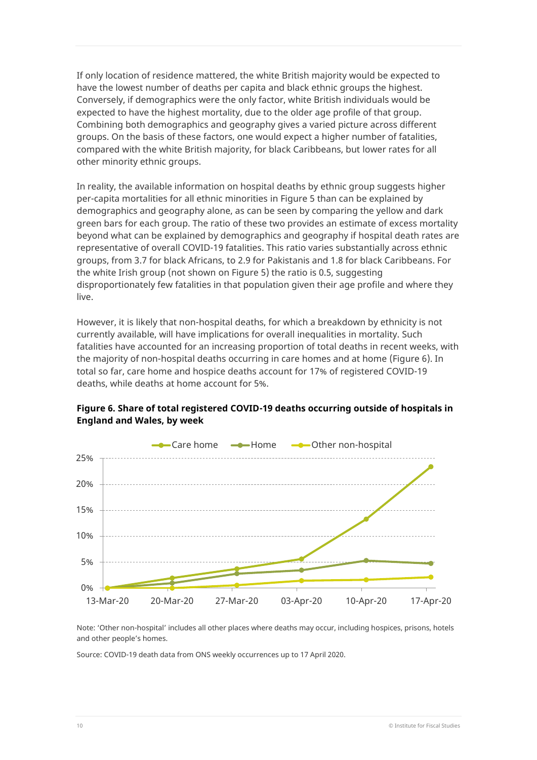If only location of residence mattered, the white British majority would be expected to have the lowest number of deaths per capita and black ethnic groups the highest. Conversely, if demographics were the only factor, white British individuals would be expected to have the highest mortality, due to the older age profile of that group. Combining both demographics and geography gives a varied picture across different groups. On the basis of these factors, one would expect a higher number of fatalities, compared with the white British majority, for black Caribbeans, but lower rates for all other minority ethnic groups.

In reality, the available information on hospital deaths by ethnic group suggests higher per-capita mortalities for all ethnic minorities in Figure 5 than can be explained by demographics and geography alone, as can be seen by comparing the yellow and dark green bars for each group. The ratio of these two provides an estimate of excess mortality beyond what can be explained by demographics and geography if hospital death rates are representative of overall COVID-19 fatalities. This ratio varies substantially across ethnic groups, from 3.7 for black Africans, to 2.9 for Pakistanis and 1.8 for black Caribbeans. For the white Irish group (not shown on Figure 5) the ratio is 0.5, suggesting disproportionately few fatalities in that population given their age profile and where they live.

However, it is likely that non-hospital deaths, for which a breakdown by ethnicity is not currently available, will have implications for overall inequalities in mortality. Such fatalities have accounted for an increasing proportion of total deaths in recent weeks, with the majority of non-hospital deaths occurring in care homes and at home (Figure 6). In total so far, care home and hospice deaths account for 17% of registered COVID-19 deaths, while deaths at home account for 5%.



#### **Figure 6. Share of total registered COVID-19 deaths occurring outside of hospitals in England and Wales, by week**

Note: 'Other non-hospital' includes all other places where deaths may occur, including hospices, prisons, hotels and other people's homes.

Source: COVID-19 death data from ONS weekly occurrences up to 17 April 2020.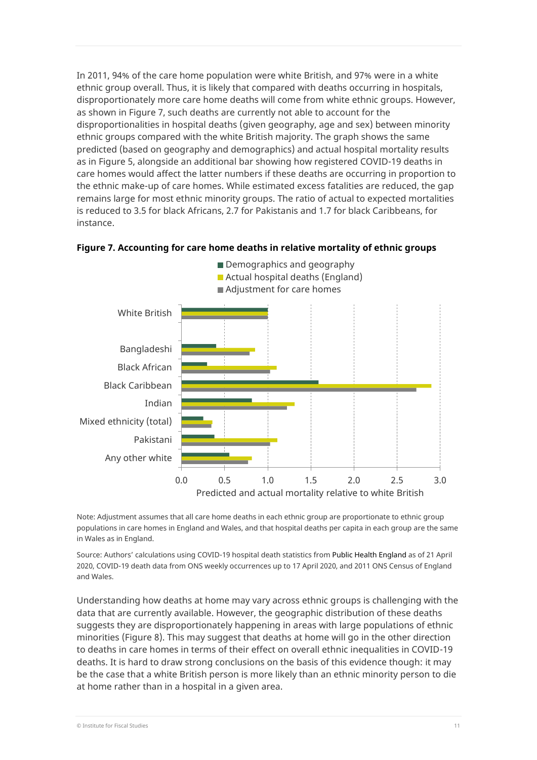In 2011, 94% of the care home population were white British, and 97% were in a white ethnic group overall. Thus, it is likely that compared with deaths occurring in hospitals, disproportionately more care home deaths will come from white ethnic groups. However, as shown in Figure 7, such deaths are currently not able to account for the disproportionalities in hospital deaths (given geography, age and sex) between minority ethnic groups compared with the white British majority. The graph shows the same predicted (based on geography and demographics) and actual hospital mortality results as in Figure 5, alongside an additional bar showing how registered COVID-19 deaths in care homes would affect the latter numbers if these deaths are occurring in proportion to the ethnic make-up of care homes. While estimated excess fatalities are reduced, the gap remains large for most ethnic minority groups. The ratio of actual to expected mortalities is reduced to 3.5 for black Africans, 2.7 for Pakistanis and 1.7 for black Caribbeans, for instance.



#### **Figure 7. Accounting for care home deaths in relative mortality of ethnic groups**

Note: Adjustment assumes that all care home deaths in each ethnic group are proportionate to ethnic group populations in care homes in England and Wales, and that hospital deaths per capita in each group are the same in Wales as in England.

Source: Authors' calculations using COVID-19 hospital death statistics from Public Health England as of 21 April 2020, COVID-19 death data from ONS weekly occurrences up to 17 April 2020, and 2011 ONS Census of England and Wales.

Understanding how deaths at home may vary across ethnic groups is challenging with the data that are currently available. However, the geographic distribution of these deaths suggests they are disproportionately happening in areas with large populations of ethnic minorities (Figure 8). This may suggest that deaths at home will go in the other direction to deaths in care homes in terms of their effect on overall ethnic inequalities in COVID-19 deaths. It is hard to draw strong conclusions on the basis of this evidence though: it may be the case that a white British person is more likely than an ethnic minority person to die at home rather than in a hospital in a given area.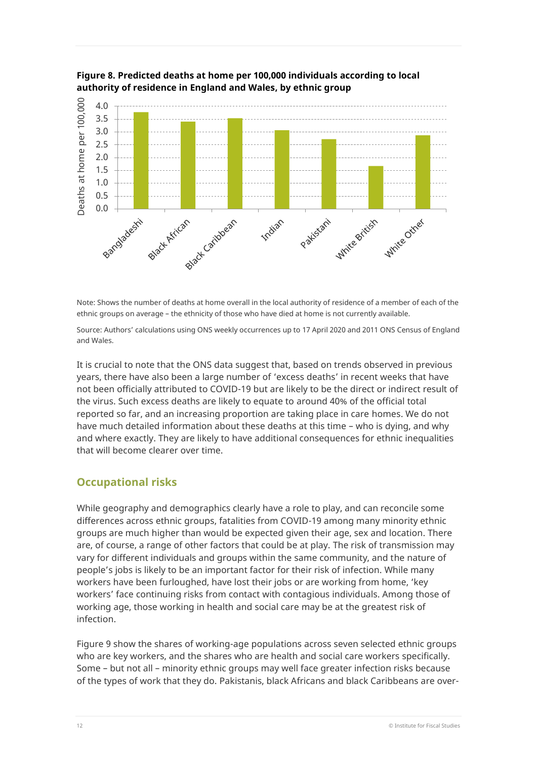

**Figure 8. Predicted deaths at home per 100,000 individuals according to local authority of residence in England and Wales, by ethnic group** 

Note: Shows the number of deaths at home overall in the local authority of residence of a member of each of the ethnic groups on average – the ethnicity of those who have died at home is not currently available.

Source: Authors' calculations using ONS weekly occurrences up to 17 April 2020 and 2011 ONS Census of England and Wales.

It is crucial to note that the ONS data suggest that, based on trends observed in previous years, there have also been a large number of 'excess deaths' in recent weeks that have not been officially attributed to COVID-19 but are likely to be the direct or indirect result of the virus. Such excess deaths are likely to equate to around 40% of the official total reported so far, and an increasing proportion are taking place in care homes. We do not have much detailed information about these deaths at this time – who is dying, and why and where exactly. They are likely to have additional consequences for ethnic inequalities that will become clearer over time.

# **Occupational risks**

While geography and demographics clearly have a role to play, and can reconcile some differences across ethnic groups, fatalities from COVID-19 among many minority ethnic groups are much higher than would be expected given their age, sex and location. There are, of course, a range of other factors that could be at play. The risk of transmission may vary for different individuals and groups within the same community, and the nature of people's jobs is likely to be an important factor for their risk of infection. While many workers have been furloughed, have lost their jobs or are working from home, 'key workers' face continuing risks from contact with contagious individuals. Among those of working age, those working in health and social care may be at the greatest risk of infection.

Figure 9 show the shares of working-age populations across seven selected ethnic groups who are key workers, and the shares who are health and social care workers specifically. Some – but not all – minority ethnic groups may well face greater infection risks because of the types of work that they do. Pakistanis, black Africans and black Caribbeans are over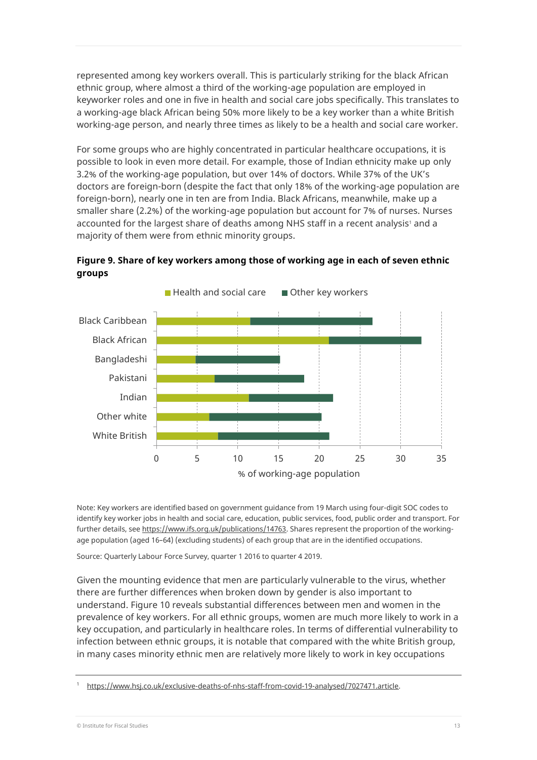represented among key workers overall. This is particularly striking for the black African ethnic group, where almost a third of the working-age population are employed in keyworker roles and one in five in health and social care jobs specifically. This translates to a working-age black African being 50% more likely to be a key worker than a white British working-age person, and nearly three times as likely to be a health and social care worker.

For some groups who are highly concentrated in particular healthcare occupations, it is possible to look in even more detail. For example, those of Indian ethnicity make up only 3.2% of the working-age population, but over 14% of doctors. While 37% of the UK's doctors are foreign-born (despite the fact that only 18% of the working-age population are foreign-born), nearly one in ten are from India. Black Africans, meanwhile, make up a smaller share (2.2%) of the working-age population but account for 7% of nurses. Nurses accounted for the largest share of deaths among NHS staff in a recent analysis<sup>1</sup> and a majority of them were from ethnic minority groups.



**Figure 9. Share of key workers among those of working age in each of seven ethnic groups**

Note: Key workers are identified based on government guidance from 19 March using four-digit SOC codes to identify key worker jobs in health and social care, education, public services, food, public order and transport. For further details, se[e https://www.ifs.org.uk/publications/14763.](https://www.ifs.org.uk/publications/14763) Shares represent the proportion of the workingage population (aged 16–64) (excluding students) of each group that are in the identified occupations.

Source: Quarterly Labour Force Survey, quarter 1 2016 to quarter 4 2019.

Given the mounting evidence that men are particularly vulnerable to the virus, whether there are further differences when broken down by gender is also important to understand. Figure 10 reveals substantial differences between men and women in the prevalence of key workers. For all ethnic groups, women are much more likely to work in a key occupation, and particularly in healthcare roles. In terms of differential vulnerability to infection between ethnic groups, it is notable that compared with the white British group, in many cases minority ethnic men are relatively more likely to work in key occupations

[https://www.hsj.co.uk/exclusive-deaths-of-nhs-staff-from-covid-19-analysed/7027471.article.](https://www.hsj.co.uk/exclusive-deaths-of-nhs-staff-from-covid-19-analysed/7027471.article)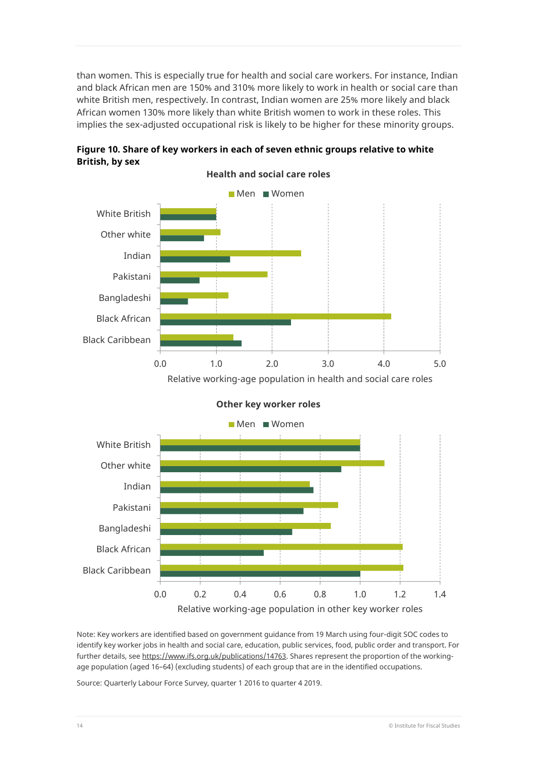than women. This is especially true for health and social care workers. For instance, Indian and black African men are 150% and 310% more likely to work in health or social care than white British men, respectively. In contrast, Indian women are 25% more likely and black African women 130% more likely than white British women to work in these roles. This implies the sex-adjusted occupational risk is likely to be higher for these minority groups.



**Figure 10. Share of key workers in each of seven ethnic groups relative to white British, by sex**





**Other key worker roles**

Note: Key workers are identified based on government guidance from 19 March using four-digit SOC codes to identify key worker jobs in health and social care, education, public services, food, public order and transport. For further details, se[e https://www.ifs.org.uk/publications/14763.](https://www.ifs.org.uk/publications/14763) Shares represent the proportion of the workingage population (aged 16–64) (excluding students) of each group that are in the identified occupations.

Source: Quarterly Labour Force Survey, quarter 1 2016 to quarter 4 2019.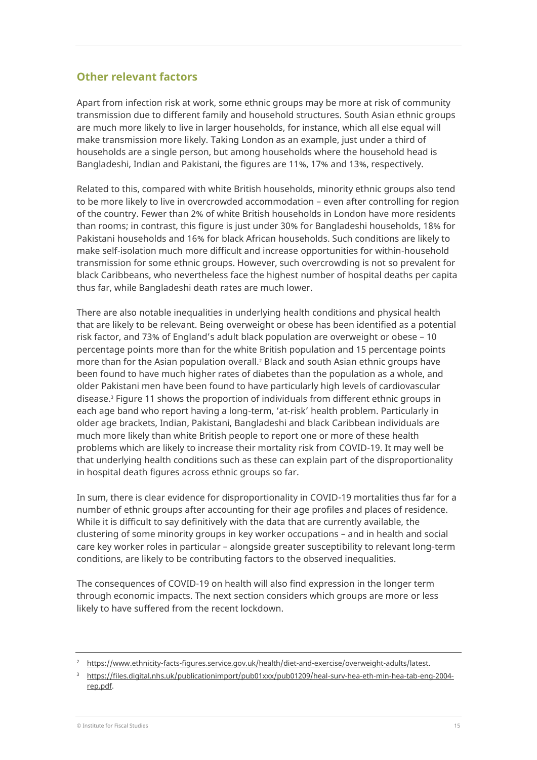### **Other relevant factors**

Apart from infection risk at work, some ethnic groups may be more at risk of community transmission due to different family and household structures. South Asian ethnic groups are much more likely to live in larger households, for instance, which all else equal will make transmission more likely. Taking London as an example, just under a third of households are a single person, but among households where the household head is Bangladeshi, Indian and Pakistani, the figures are 11%, 17% and 13%, respectively.

Related to this, compared with white British households, minority ethnic groups also tend to be more likely to live in overcrowded accommodation – even after controlling for region of the country. Fewer than 2% of white British households in London have more residents than rooms; in contrast, this figure is just under 30% for Bangladeshi households, 18% for Pakistani households and 16% for black African households. Such conditions are likely to make self-isolation much more difficult and increase opportunities for within-household transmission for some ethnic groups. However, such overcrowding is not so prevalent for black Caribbeans, who nevertheless face the highest number of hospital deaths per capita thus far, while Bangladeshi death rates are much lower.

There are also notable inequalities in underlying health conditions and physical health that are likely to be relevant. Being overweight or obese has been identified as a potential risk factor, and 73% of England's adult black population are overweight or obese – 10 percentage points more than for the white British population and 15 percentage points more than for the Asian population overall.<sup>2</sup> Black and south Asian ethnic groups have been found to have much higher rates of diabetes than the population as a whole, and older Pakistani men have been found to have particularly high levels of cardiovascular disease. <sup>3</sup> Figure 11 shows the proportion of individuals from different ethnic groups in each age band who report having a long-term, 'at-risk' health problem. Particularly in older age brackets, Indian, Pakistani, Bangladeshi and black Caribbean individuals are much more likely than white British people to report one or more of these health problems which are likely to increase their mortality risk from COVID-19. It may well be that underlying health conditions such as these can explain part of the disproportionality in hospital death figures across ethnic groups so far.

In sum, there is clear evidence for disproportionality in COVID-19 mortalities thus far for a number of ethnic groups after accounting for their age profiles and places of residence. While it is difficult to say definitively with the data that are currently available, the clustering of some minority groups in key worker occupations – and in health and social care key worker roles in particular – alongside greater susceptibility to relevant long-term conditions, are likely to be contributing factors to the observed inequalities.

The consequences of COVID-19 on health will also find expression in the longer term through economic impacts. The next section considers which groups are more or less likely to have suffered from the recent lockdown.

<sup>2</sup> [https://www.ethnicity-facts-figures.service.gov.uk/health/diet-and-exercise/overweight-adults/latest.](https://www.ethnicity-facts-figures.service.gov.uk/health/diet-and-exercise/overweight-adults/latest)

<sup>3</sup> [https://files.digital.nhs.uk/publicationimport/pub01xxx/pub01209/heal-surv-hea-eth-min-hea-tab-eng-2004](https://files.digital.nhs.uk/publicationimport/pub01xxx/pub01209/heal-surv-hea-eth-min-hea-tab-eng-2004-rep.pdf) [rep.pdf.](https://files.digital.nhs.uk/publicationimport/pub01xxx/pub01209/heal-surv-hea-eth-min-hea-tab-eng-2004-rep.pdf)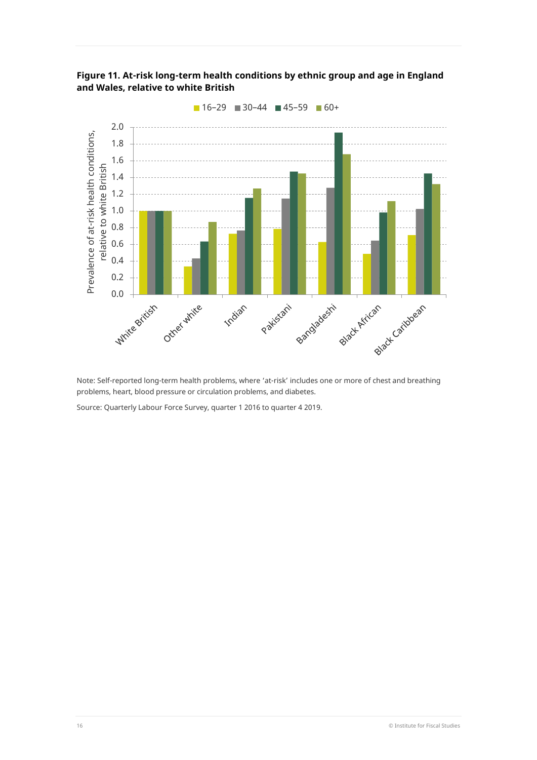



Note: Self-reported long-term health problems, where 'at-risk' includes one or more of chest and breathing problems, heart, blood pressure or circulation problems, and diabetes.

Source: Quarterly Labour Force Survey, quarter 1 2016 to quarter 4 2019.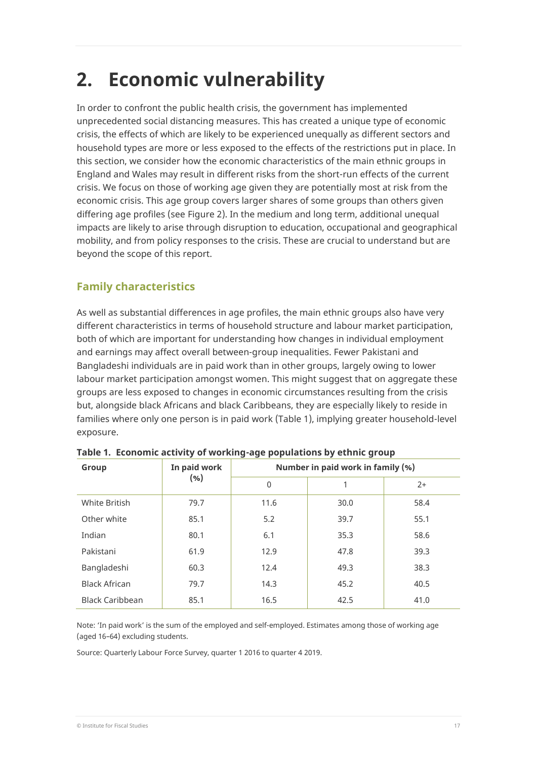# **2. Economic vulnerability**

In order to confront the public health crisis, the government has implemented unprecedented social distancing measures. This has created a unique type of economic crisis, the effects of which are likely to be experienced unequally as different sectors and household types are more or less exposed to the effects of the restrictions put in place. In this section, we consider how the economic characteristics of the main ethnic groups in England and Wales may result in different risks from the short-run effects of the current crisis. We focus on those of working age given they are potentially most at risk from the economic crisis. This age group covers larger shares of some groups than others given differing age profiles (see Figure 2). In the medium and long term, additional unequal impacts are likely to arise through disruption to education, occupational and geographical mobility, and from policy responses to the crisis. These are crucial to understand but are beyond the scope of this report.

# **Family characteristics**

As well as substantial differences in age profiles, the main ethnic groups also have very different characteristics in terms of household structure and labour market participation, both of which are important for understanding how changes in individual employment and earnings may affect overall between-group inequalities. Fewer Pakistani and Bangladeshi individuals are in paid work than in other groups, largely owing to lower labour market participation amongst women. This might suggest that on aggregate these groups are less exposed to changes in economic circumstances resulting from the crisis but, alongside black Africans and black Caribbeans, they are especially likely to reside in families where only one person is in paid work (Table 1), implying greater household-level exposure.

| Group                  | In paid work<br>$(\% )$ | Number in paid work in family (%) |      |      |  |
|------------------------|-------------------------|-----------------------------------|------|------|--|
|                        |                         | $\mathbf{0}$                      |      | $2+$ |  |
| White British          | 79.7                    | 11.6                              | 30.0 | 58.4 |  |
| Other white            | 85.1                    | 5.2                               | 39.7 | 55.1 |  |
| Indian                 | 80.1                    | 6.1                               | 35.3 | 58.6 |  |
| Pakistani              | 61.9                    | 12.9                              | 47.8 | 39.3 |  |
| Bangladeshi            | 60.3                    | 12.4                              | 49.3 | 38.3 |  |
| <b>Black African</b>   | 79.7                    | 14.3                              | 45.2 | 40.5 |  |
| <b>Black Caribbean</b> | 85.1                    | 16.5                              | 42.5 | 41.0 |  |

**Table 1. Economic activity of working-age populations by ethnic group**

Note: 'In paid work' is the sum of the employed and self-employed. Estimates among those of working age (aged 16–64) excluding students.

Source: Quarterly Labour Force Survey, quarter 1 2016 to quarter 4 2019.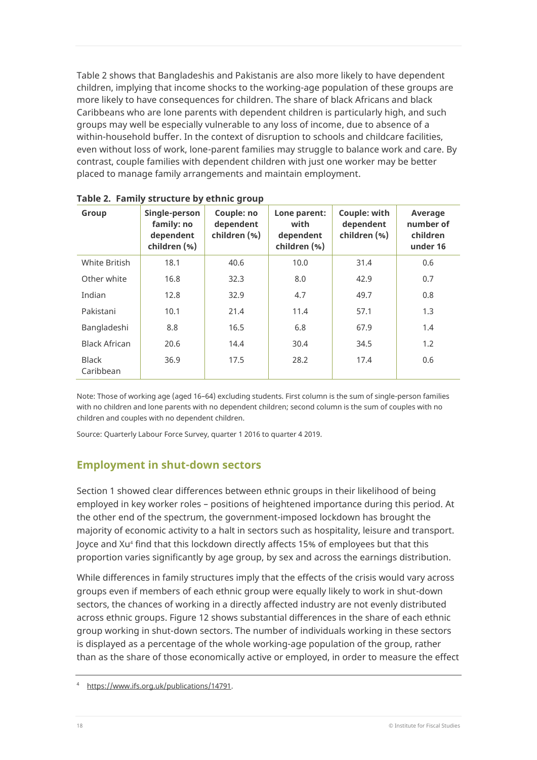Table 2 shows that Bangladeshis and Pakistanis are also more likely to have dependent children, implying that income shocks to the working-age population of these groups are more likely to have consequences for children. The share of black Africans and black Caribbeans who are lone parents with dependent children is particularly high, and such groups may well be especially vulnerable to any loss of income, due to absence of a within-household buffer. In the context of disruption to schools and childcare facilities, even without loss of work, lone-parent families may struggle to balance work and care. By contrast, couple families with dependent children with just one worker may be better placed to manage family arrangements and maintain employment.

| Group                     | Single-person<br>family: no<br>dependent<br>children (%) | Couple: no<br>dependent<br>children (%) | Lone parent:<br>with<br>dependent<br>children (%) | Couple: with<br>dependent<br>children (%) | Average<br>number of<br>children<br>under 16 |
|---------------------------|----------------------------------------------------------|-----------------------------------------|---------------------------------------------------|-------------------------------------------|----------------------------------------------|
| White British             | 18.1                                                     | 40.6                                    | 10.0                                              | 31.4                                      | 0.6                                          |
| Other white               | 16.8                                                     | 32.3                                    | 8.0                                               | 42.9                                      | 0.7                                          |
| Indian                    | 12.8                                                     | 32.9                                    | 4.7                                               | 49.7                                      | 0.8                                          |
| Pakistani                 | 10.1                                                     | 21.4                                    | 11.4                                              | 57.1                                      | 1.3                                          |
| Bangladeshi               | 8.8                                                      | 16.5                                    | 6.8                                               | 67.9                                      | 1.4                                          |
| <b>Black African</b>      | 20.6                                                     | 14.4                                    | 30.4                                              | 34.5                                      | 1.2                                          |
| <b>Black</b><br>Caribbean | 36.9                                                     | 17.5                                    | 28.2                                              | 17.4                                      | 0.6                                          |

**Table 2. Family structure by ethnic group**

Note: Those of working age (aged 16–64) excluding students. First column is the sum of single-person families with no children and lone parents with no dependent children; second column is the sum of couples with no children and couples with no dependent children.

Source: Quarterly Labour Force Survey, quarter 1 2016 to quarter 4 2019.

# **Employment in shut-down sectors**

Section 1 showed clear differences between ethnic groups in their likelihood of being employed in key worker roles – positions of heightened importance during this period. At the other end of the spectrum, the government-imposed lockdown has brought the majority of economic activity to a halt in sectors such as hospitality, leisure and transport. Joyce and Xu<sup>4</sup> find that this lockdown directly affects 15% of employees but that this proportion varies significantly by age group, by sex and across the earnings distribution.

While differences in family structures imply that the effects of the crisis would vary across groups even if members of each ethnic group were equally likely to work in shut-down sectors, the chances of working in a directly affected industry are not evenly distributed across ethnic groups. Figure 12 shows substantial differences in the share of each ethnic group working in shut-down sectors. The number of individuals working in these sectors is displayed as a percentage of the whole working-age population of the group, rather than as the share of those economically active or employed, in order to measure the effect

[https://www.ifs.org.uk/publications/14791.](https://www.ifs.org.uk/publications/14791)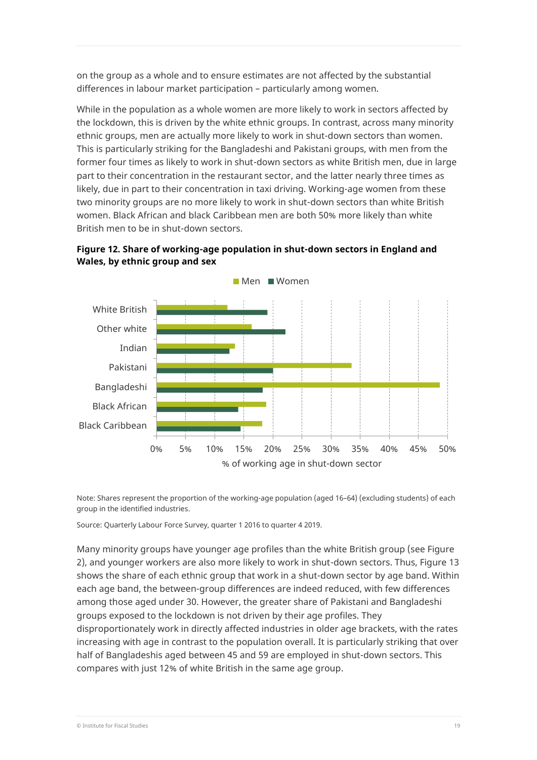on the group as a whole and to ensure estimates are not affected by the substantial differences in labour market participation – particularly among women.

While in the population as a whole women are more likely to work in sectors affected by the lockdown, this is driven by the white ethnic groups. In contrast, across many minority ethnic groups, men are actually more likely to work in shut-down sectors than women. This is particularly striking for the Bangladeshi and Pakistani groups, with men from the former four times as likely to work in shut-down sectors as white British men, due in large part to their concentration in the restaurant sector, and the latter nearly three times as likely, due in part to their concentration in taxi driving. Working-age women from these two minority groups are no more likely to work in shut-down sectors than white British women. Black African and black Caribbean men are both 50% more likely than white British men to be in shut-down sectors.





Note: Shares represent the proportion of the working-age population (aged 16–64) (excluding students) of each group in the identified industries.

Source: Quarterly Labour Force Survey, quarter 1 2016 to quarter 4 2019.

Many minority groups have younger age profiles than the white British group (see Figure 2), and younger workers are also more likely to work in shut-down sectors. Thus, Figure 13 shows the share of each ethnic group that work in a shut-down sector by age band. Within each age band, the between-group differences are indeed reduced, with few differences among those aged under 30. However, the greater share of Pakistani and Bangladeshi groups exposed to the lockdown is not driven by their age profiles. They disproportionately work in directly affected industries in older age brackets, with the rates increasing with age in contrast to the population overall. It is particularly striking that over half of Bangladeshis aged between 45 and 59 are employed in shut-down sectors. This compares with just 12% of white British in the same age group.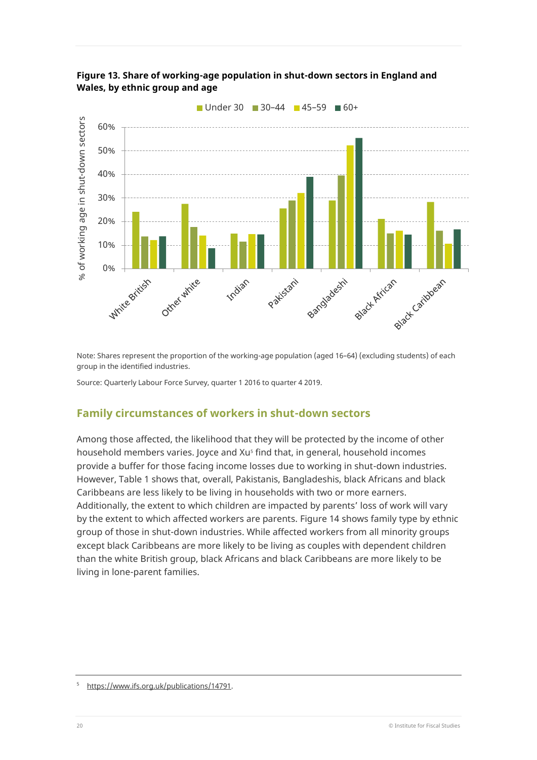



Note: Shares represent the proportion of the working-age population (aged 16–64) (excluding students) of each group in the identified industries.

Source: Quarterly Labour Force Survey, quarter 1 2016 to quarter 4 2019.

# **Family circumstances of workers in shut-down sectors**

Among those affected, the likelihood that they will be protected by the income of other household members varies. Joyce and Xu<sup>s</sup> find that, in general, household incomes provide a buffer for those facing income losses due to working in shut-down industries. However, Table 1 shows that, overall, Pakistanis, Bangladeshis, black Africans and black Caribbeans are less likely to be living in households with two or more earners. Additionally, the extent to which children are impacted by parents' loss of work will vary by the extent to which affected workers are parents. Figure 14 shows family type by ethnic group of those in shut-down industries. While affected workers from all minority groups except black Caribbeans are more likely to be living as couples with dependent children than the white British group, black Africans and black Caribbeans are more likely to be living in lone-parent families.

[https://www.ifs.org.uk/publications/14791.](https://www.ifs.org.uk/publications/14791)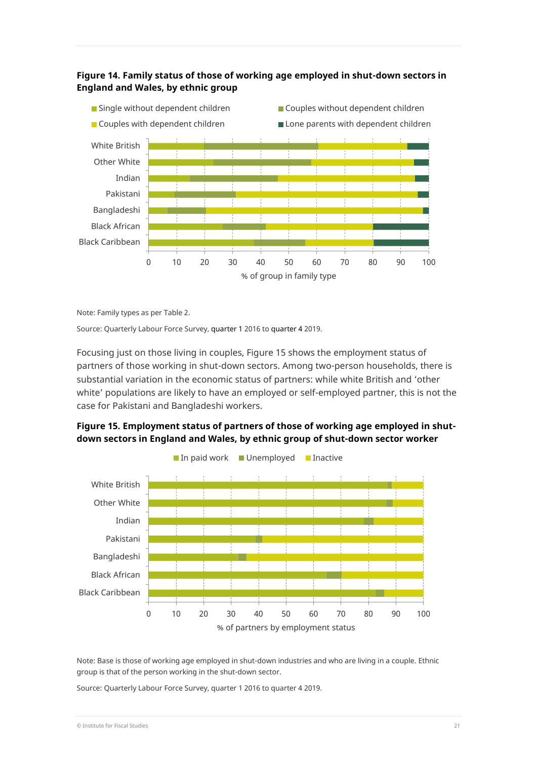### **Figure 14. Family status of those of working age employed in shut-down sectors in England and Wales, by ethnic group**



Note: Family types as per Table 2.

Source: Quarterly Labour Force Survey, quarter 1 2016 to quarter 4 2019.

Focusing just on those living in couples, Figure 15 shows the employment status of partners of those working in shut-down sectors. Among two-person households, there is substantial variation in the economic status of partners: while white British and 'other white' populations are likely to have an employed or self-employed partner, this is not the case for Pakistani and Bangladeshi workers.



**Figure 15. Employment status of partners of those of working age employed in shutdown sectors in England and Wales, by ethnic group of shut-down sector worker**

Note: Base is those of working age employed in shut-down industries and who are living in a couple. Ethnic group is that of the person working in the shut-down sector.

Source: Quarterly Labour Force Survey, quarter 1 2016 to quarter 4 2019.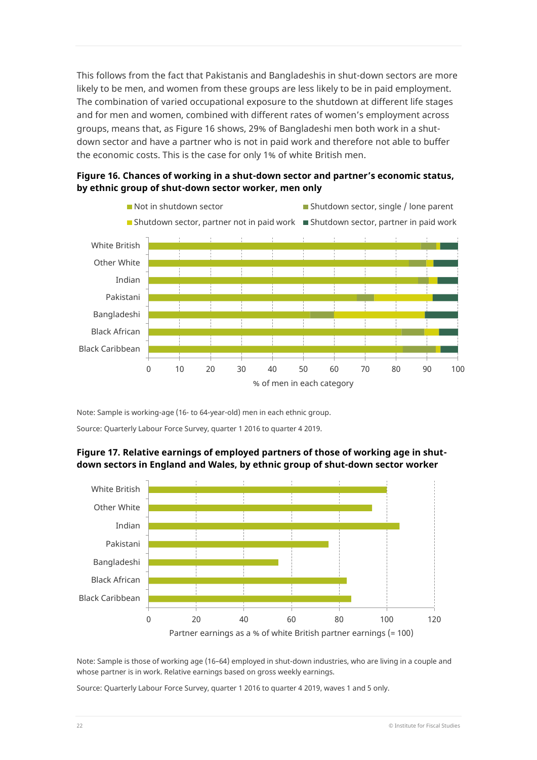This follows from the fact that Pakistanis and Bangladeshis in shut-down sectors are more likely to be men, and women from these groups are less likely to be in paid employment. The combination of varied occupational exposure to the shutdown at different life stages and for men and women, combined with different rates of women's employment across groups, means that, as Figure 16 shows, 29% of Bangladeshi men both work in a shutdown sector and have a partner who is not in paid work and therefore not able to buffer the economic costs. This is the case for only 1% of white British men.





Note: Sample is working-age (16- to 64-year-old) men in each ethnic group.

Source: Quarterly Labour Force Survey, quarter 1 2016 to quarter 4 2019.



**Figure 17. Relative earnings of employed partners of those of working age in shutdown sectors in England and Wales, by ethnic group of shut-down sector worker**

Note: Sample is those of working age (16–64) employed in shut-down industries, who are living in a couple and whose partner is in work. Relative earnings based on gross weekly earnings.

Source: Quarterly Labour Force Survey, quarter 1 2016 to quarter 4 2019, waves 1 and 5 only.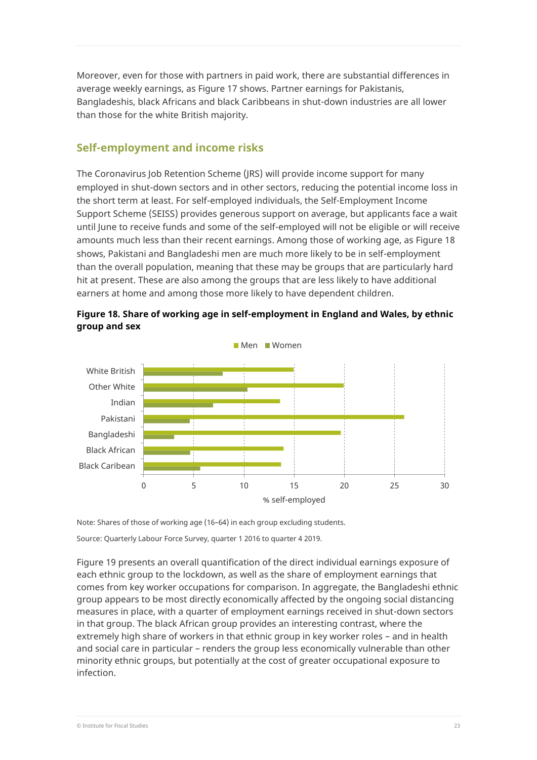Moreover, even for those with partners in paid work, there are substantial differences in average weekly earnings, as Figure 17 shows. Partner earnings for Pakistanis, Bangladeshis, black Africans and black Caribbeans in shut-down industries are all lower than those for the white British majority.

# **Self-employment and income risks**

The Coronavirus Job Retention Scheme (JRS) will provide income support for many employed in shut-down sectors and in other sectors, reducing the potential income loss in the short term at least. For self-employed individuals, the Self-Employment Income Support Scheme (SEISS) provides generous support on average, but applicants face a wait until June to receive funds and some of the self-employed will not be eligible or will receive amounts much less than their recent earnings. Among those of working age, as Figure 18 shows, Pakistani and Bangladeshi men are much more likely to be in self-employment than the overall population, meaning that these may be groups that are particularly hard hit at present. These are also among the groups that are less likely to have additional earners at home and among those more likely to have dependent children.





Note: Shares of those of working age (16–64) in each group excluding students.

Source: Quarterly Labour Force Survey, quarter 1 2016 to quarter 4 2019.

Figure 19 presents an overall quantification of the direct individual earnings exposure of each ethnic group to the lockdown, as well as the share of employment earnings that comes from key worker occupations for comparison. In aggregate, the Bangladeshi ethnic group appears to be most directly economically affected by the ongoing social distancing measures in place, with a quarter of employment earnings received in shut-down sectors in that group. The black African group provides an interesting contrast, where the extremely high share of workers in that ethnic group in key worker roles – and in health and social care in particular – renders the group less economically vulnerable than other minority ethnic groups, but potentially at the cost of greater occupational exposure to infection.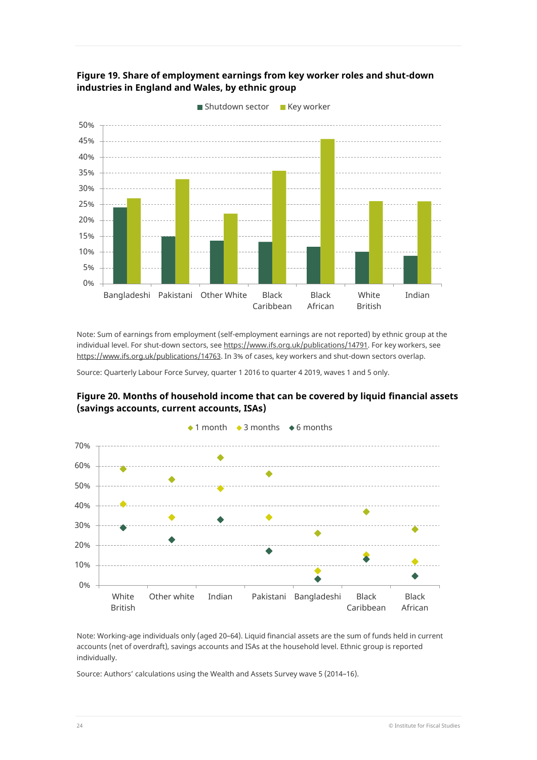



Note: Sum of earnings from employment (self-employment earnings are not reported) by ethnic group at the individual level. For shut-down sectors, se[e https://www.ifs.org.uk/publications/14791.](https://www.ifs.org.uk/publications/14791) For key workers, see [https://www.ifs.org.uk/publications/14763.](https://www.ifs.org.uk/publications/14763) In 3% of cases, key workers and shut-down sectors overlap.

Source: Quarterly Labour Force Survey, quarter 1 2016 to quarter 4 2019, waves 1 and 5 only.





Note: Working-age individuals only (aged 20–64). Liquid financial assets are the sum of funds held in current accounts (net of overdraft), savings accounts and ISAs at the household level. Ethnic group is reported individually.

Source: Authors' calculations using the Wealth and Assets Survey wave 5 (2014–16).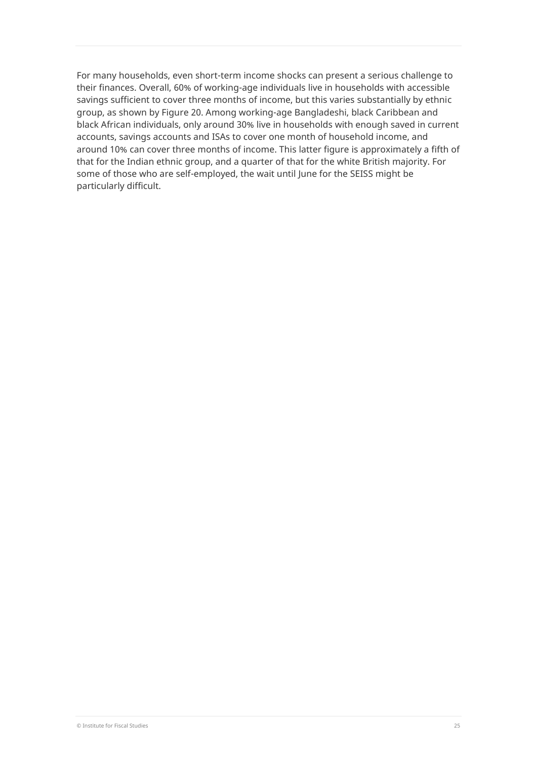For many households, even short-term income shocks can present a serious challenge to their finances. Overall, 60% of working-age individuals live in households with accessible savings sufficient to cover three months of income, but this varies substantially by ethnic group, as shown by Figure 20. Among working-age Bangladeshi, black Caribbean and black African individuals, only around 30% live in households with enough saved in current accounts, savings accounts and ISAs to cover one month of household income, and around 10% can cover three months of income. This latter figure is approximately a fifth of that for the Indian ethnic group, and a quarter of that for the white British majority. For some of those who are self-employed, the wait until June for the SEISS might be particularly difficult.